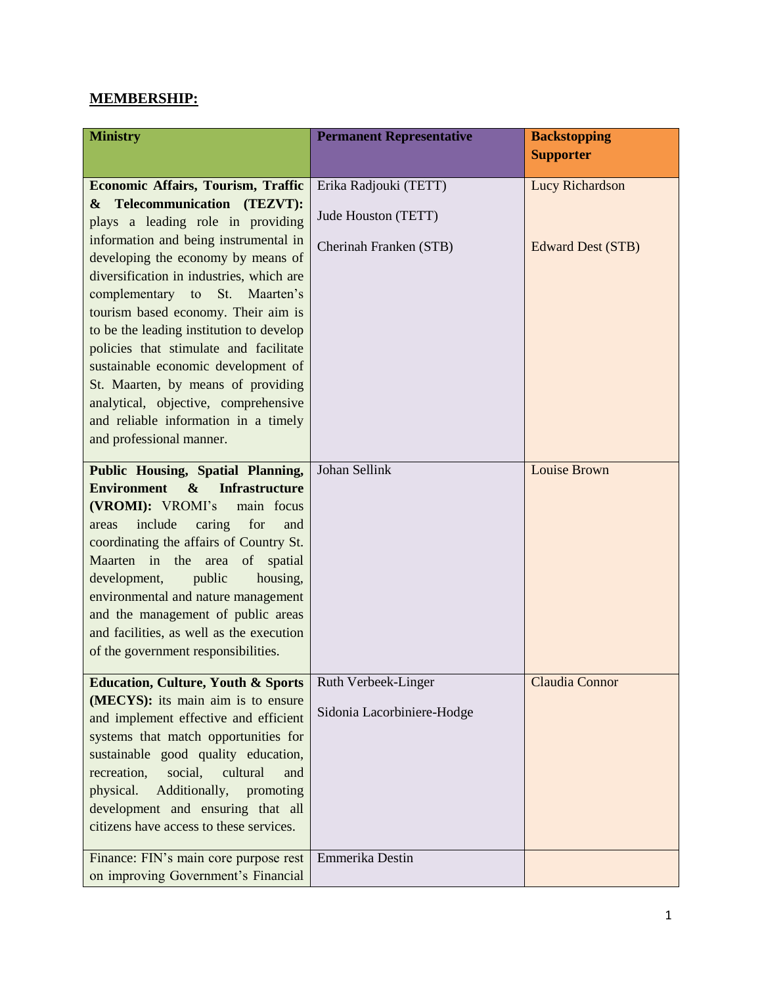## **MEMBERSHIP:**

| <b>Ministry</b>                                          | <b>Permanent Representative</b> | <b>Backstopping</b><br><b>Supporter</b> |
|----------------------------------------------------------|---------------------------------|-----------------------------------------|
|                                                          |                                 |                                         |
| <b>Economic Affairs, Tourism, Traffic</b>                | Erika Radjouki (TETT)           | <b>Lucy Richardson</b>                  |
| Telecommunication (TEZVT):<br>$\boldsymbol{\alpha}$      |                                 |                                         |
| plays a leading role in providing                        | Jude Houston (TETT)             |                                         |
| information and being instrumental in                    | Cherinah Franken (STB)          | <b>Edward Dest (STB)</b>                |
| developing the economy by means of                       |                                 |                                         |
| diversification in industries, which are                 |                                 |                                         |
| complementary to St. Maarten's                           |                                 |                                         |
| tourism based economy. Their aim is                      |                                 |                                         |
| to be the leading institution to develop                 |                                 |                                         |
| policies that stimulate and facilitate                   |                                 |                                         |
| sustainable economic development of                      |                                 |                                         |
| St. Maarten, by means of providing                       |                                 |                                         |
| analytical, objective, comprehensive                     |                                 |                                         |
| and reliable information in a timely                     |                                 |                                         |
| and professional manner.                                 |                                 |                                         |
| Public Housing, Spatial Planning,                        | Johan Sellink                   | <b>Louise Brown</b>                     |
| Environment &<br><b>Infrastructure</b>                   |                                 |                                         |
| (VROMI): VROMI's<br>main focus                           |                                 |                                         |
| include<br>caring<br>for<br>and<br>areas                 |                                 |                                         |
| coordinating the affairs of Country St.                  |                                 |                                         |
| Maarten in the area of spatial                           |                                 |                                         |
| development,<br>housing,<br>public                       |                                 |                                         |
| environmental and nature management                      |                                 |                                         |
| and the management of public areas                       |                                 |                                         |
| and facilities, as well as the execution                 |                                 |                                         |
| of the government responsibilities.                      |                                 |                                         |
|                                                          |                                 |                                         |
| Education, Culture, Youth & Sports   Ruth Verbeek-Linger |                                 | Claudia Connor                          |
| (MECYS): its main aim is to ensure                       | Sidonia Lacorbiniere-Hodge      |                                         |
| and implement effective and efficient                    |                                 |                                         |
| systems that match opportunities for                     |                                 |                                         |
| sustainable good quality education,                      |                                 |                                         |
| recreation,<br>social,<br>cultural<br>and                |                                 |                                         |
| Additionally,<br>physical.<br>promoting                  |                                 |                                         |
| development and ensuring that all                        |                                 |                                         |
| citizens have access to these services.                  |                                 |                                         |
| Finance: FIN's main core purpose rest                    | Emmerika Destin                 |                                         |
| on improving Government's Financial                      |                                 |                                         |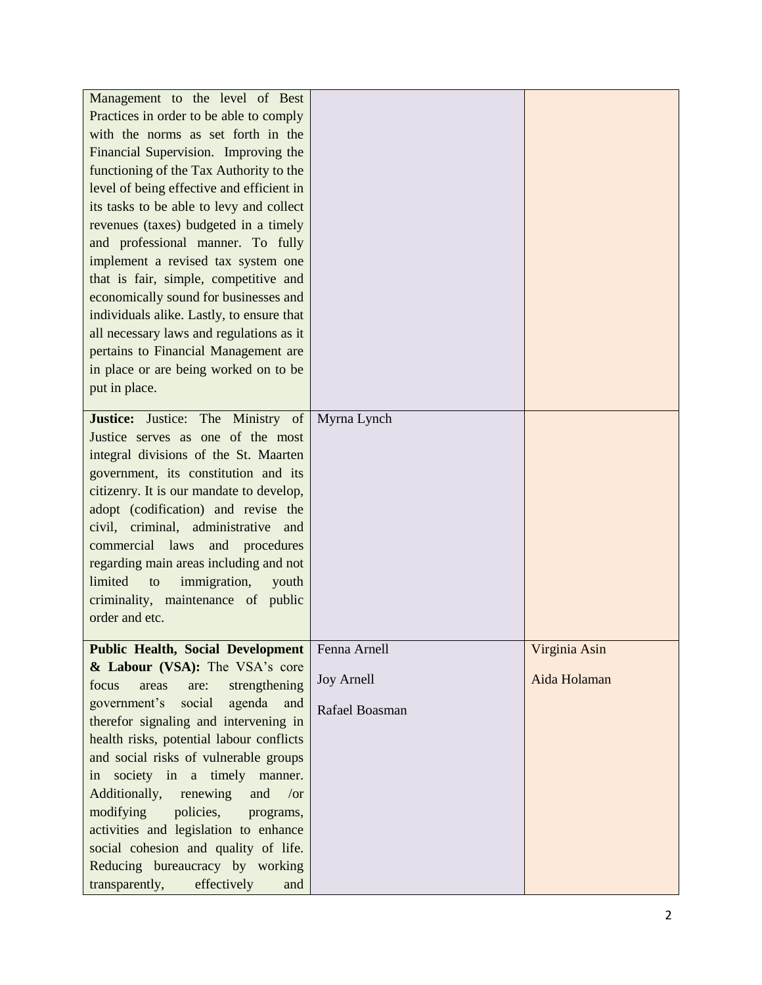| Management to the level of Best<br>Practices in order to be able to comply<br>with the norms as set forth in the<br>Financial Supervision. Improving the<br>functioning of the Tax Authority to the<br>level of being effective and efficient in<br>its tasks to be able to levy and collect<br>revenues (taxes) budgeted in a timely<br>and professional manner. To fully<br>implement a revised tax system one<br>that is fair, simple, competitive and<br>economically sound for businesses and<br>individuals alike. Lastly, to ensure that<br>all necessary laws and regulations as it<br>pertains to Financial Management are<br>in place or are being worked on to be<br>put in place. |                                                     |                               |
|-----------------------------------------------------------------------------------------------------------------------------------------------------------------------------------------------------------------------------------------------------------------------------------------------------------------------------------------------------------------------------------------------------------------------------------------------------------------------------------------------------------------------------------------------------------------------------------------------------------------------------------------------------------------------------------------------|-----------------------------------------------------|-------------------------------|
| <b>Justice:</b> Justice:<br>The<br>Ministry of<br>Justice serves as one of the most<br>integral divisions of the St. Maarten<br>government, its constitution and its<br>citizenry. It is our mandate to develop,<br>adopt (codification) and revise the<br>civil, criminal, administrative and<br>commercial laws and procedures<br>regarding main areas including and not<br>limited<br>immigration,<br>to<br>youth<br>criminality, maintenance of public<br>order and etc.                                                                                                                                                                                                                  | Myrna Lynch                                         |                               |
| <b>Public Health, Social Development</b><br>& Labour (VSA): The VSA's core<br>strengthening<br>focus<br>areas<br>are:<br>agenda<br>social<br>and<br>government's<br>therefor signaling and intervening in<br>health risks, potential labour conflicts<br>and social risks of vulnerable groups<br>in society in a timely manner.<br>Additionally,<br>and<br>renewing<br>$\sqrt{or}$<br>modifying<br>policies,<br>programs,<br>activities and legislation to enhance<br>social cohesion and quality of life.<br>Reducing bureaucracy by working<br>transparently,<br>effectively<br>and                                                                                                        | Fenna Arnell<br><b>Joy Arnell</b><br>Rafael Boasman | Virginia Asin<br>Aida Holaman |